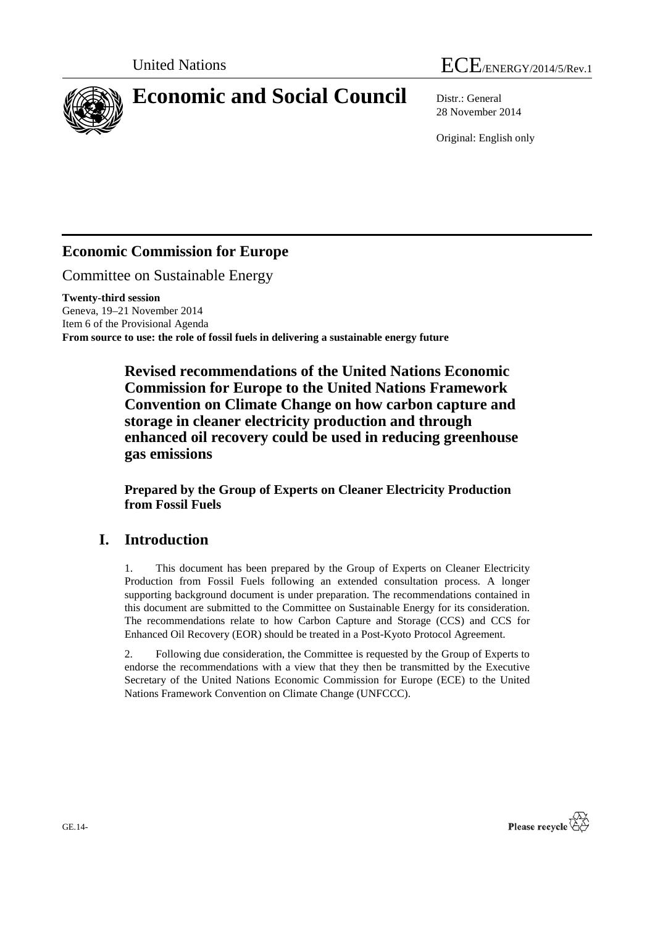



28 November 2014

Original: English only

# **Economic Commission for Europe**

Committee on Sustainable Energy

**Twenty-third session** Geneva, 19–21 November 2014 Item 6 of the Provisional Agenda **From source to use: the role of fossil fuels in delivering a sustainable energy future**

> **Revised recommendations of the United Nations Economic Commission for Europe to the United Nations Framework Convention on Climate Change on how carbon capture and storage in cleaner electricity production and through enhanced oil recovery could be used in reducing greenhouse gas emissions**

**Prepared by the Group of Experts on Cleaner Electricity Production from Fossil Fuels**

# **I. Introduction**

1. This document has been prepared by the Group of Experts on Cleaner Electricity Production from Fossil Fuels following an extended consultation process. A longer supporting background document is under preparation. The recommendations contained in this document are submitted to the Committee on Sustainable Energy for its consideration. The recommendations relate to how Carbon Capture and Storage (CCS) and CCS for Enhanced Oil Recovery (EOR) should be treated in a Post-Kyoto Protocol Agreement.

2. Following due consideration, the Committee is requested by the Group of Experts to endorse the recommendations with a view that they then be transmitted by the Executive Secretary of the United Nations Economic Commission for Europe (ECE) to the United Nations Framework Convention on Climate Change (UNFCCC).

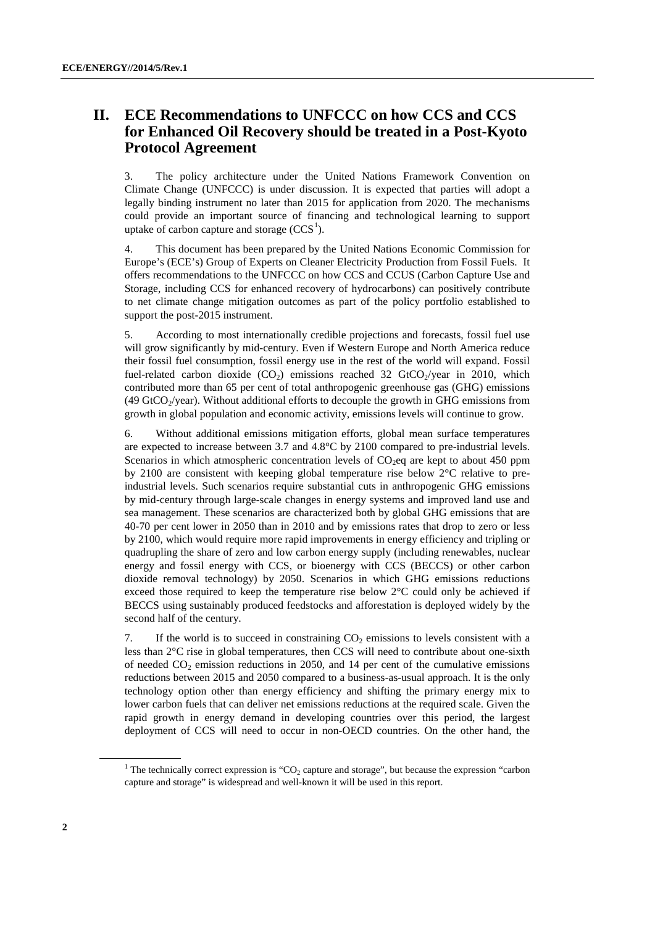### **II. ECE Recommendations to UNFCCC on how CCS and CCS for Enhanced Oil Recovery should be treated in a Post-Kyoto Protocol Agreement**

3. The policy architecture under the United Nations Framework Convention on Climate Change (UNFCCC) is under discussion. It is expected that parties will adopt a legally binding instrument no later than 2015 for application from 2020. The mechanisms could provide an important source of financing and technological learning to support uptake of carbon capture and storage  $(CCS<sup>1</sup>)$  $(CCS<sup>1</sup>)$  $(CCS<sup>1</sup>)$ .

4. This document has been prepared by the United Nations Economic Commission for Europe's (ECE's) Group of Experts on Cleaner Electricity Production from Fossil Fuels. It offers recommendations to the UNFCCC on how CCS and CCUS (Carbon Capture Use and Storage, including CCS for enhanced recovery of hydrocarbons) can positively contribute to net climate change mitigation outcomes as part of the policy portfolio established to support the post-2015 instrument.

5. According to most internationally credible projections and forecasts, fossil fuel use will grow significantly by mid-century. Even if Western Europe and North America reduce their fossil fuel consumption, fossil energy use in the rest of the world will expand. Fossil fuel-related carbon dioxide  $(CO<sub>2</sub>)$  emissions reached 32 GtCO<sub>2</sub>/year in 2010, which contributed more than 65 per cent of total anthropogenic greenhouse gas (GHG) emissions (49 GtCO $<sub>2</sub>$ /year). Without additional efforts to decouple the growth in GHG emissions from</sub> growth in global population and economic activity, emissions levels will continue to grow.

6. Without additional emissions mitigation efforts, global mean surface temperatures are expected to increase between 3.7 and 4.8°C by 2100 compared to pre-industrial levels. Scenarios in which atmospheric concentration levels of  $CO<sub>2</sub>$ eq are kept to about 450 ppm by 2100 are consistent with keeping global temperature rise below 2°C relative to preindustrial levels. Such scenarios require substantial cuts in anthropogenic GHG emissions by mid-century through large-scale changes in energy systems and improved land use and sea management. These scenarios are characterized both by global GHG emissions that are 40-70 per cent lower in 2050 than in 2010 and by emissions rates that drop to zero or less by 2100, which would require more rapid improvements in energy efficiency and tripling or quadrupling the share of zero and low carbon energy supply (including renewables, nuclear energy and fossil energy with CCS, or bioenergy with CCS (BECCS) or other carbon dioxide removal technology) by 2050. Scenarios in which GHG emissions reductions exceed those required to keep the temperature rise below  $2^{\circ}$ C could only be achieved if BECCS using sustainably produced feedstocks and afforestation is deployed widely by the second half of the century.

7. If the world is to succeed in constraining  $CO<sub>2</sub>$  emissions to levels consistent with a less than 2°C rise in global temperatures, then CCS will need to contribute about one-sixth of needed  $CO<sub>2</sub>$  emission reductions in 2050, and 14 per cent of the cumulative emissions reductions between 2015 and 2050 compared to a business-as-usual approach. It is the only technology option other than energy efficiency and shifting the primary energy mix to lower carbon fuels that can deliver net emissions reductions at the required scale. Given the rapid growth in energy demand in developing countries over this period, the largest deployment of CCS will need to occur in non-OECD countries. On the other hand, the

<span id="page-1-0"></span><sup>&</sup>lt;sup>1</sup> The technically correct expression is "CO<sub>2</sub> capture and storage", but because the expression "carbon" capture and storage" is widespread and well-known it will be used in this report.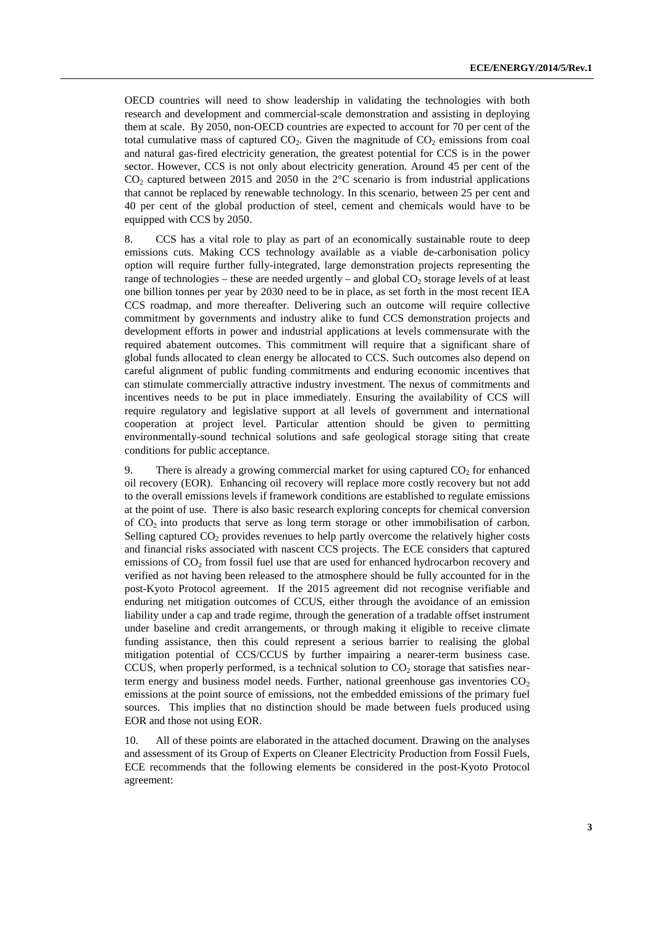OECD countries will need to show leadership in validating the technologies with both research and development and commercial-scale demonstration and assisting in deploying them at scale. By 2050, non-OECD countries are expected to account for 70 per cent of the total cumulative mass of captured  $CO<sub>2</sub>$ . Given the magnitude of  $CO<sub>2</sub>$  emissions from coal and natural gas-fired electricity generation, the greatest potential for CCS is in the power sector. However, CCS is not only about electricity generation. Around 45 per cent of the  $CO<sub>2</sub>$  captured between 2015 and 2050 in the 2 $\degree$ C scenario is from industrial applications that cannot be replaced by renewable technology. In this scenario, between 25 per cent and 40 per cent of the global production of steel, cement and chemicals would have to be equipped with CCS by 2050.

8. CCS has a vital role to play as part of an economically sustainable route to deep emissions cuts. Making CCS technology available as a viable de-carbonisation policy option will require further fully-integrated, large demonstration projects representing the range of technologies – these are needed urgently – and global  $CO<sub>2</sub>$  storage levels of at least one billion tonnes per year by 2030 need to be in place, as set forth in the most recent IEA CCS roadmap, and more thereafter. Delivering such an outcome will require collective commitment by governments and industry alike to fund CCS demonstration projects and development efforts in power and industrial applications at levels commensurate with the required abatement outcomes. This commitment will require that a significant share of global funds allocated to clean energy be allocated to CCS. Such outcomes also depend on careful alignment of public funding commitments and enduring economic incentives that can stimulate commercially attractive industry investment. The nexus of commitments and incentives needs to be put in place immediately. Ensuring the availability of CCS will require regulatory and legislative support at all levels of government and international cooperation at project level. Particular attention should be given to permitting environmentally-sound technical solutions and safe geological storage siting that create conditions for public acceptance.

9. There is already a growing commercial market for using captured  $CO<sub>2</sub>$  for enhanced oil recovery (EOR). Enhancing oil recovery will replace more costly recovery but not add to the overall emissions levels if framework conditions are established to regulate emissions at the point of use. There is also basic research exploring concepts for chemical conversion of CO2 into products that serve as long term storage or other immobilisation of carbon. Selling captured  $CO<sub>2</sub>$  provides revenues to help partly overcome the relatively higher costs and financial risks associated with nascent CCS projects. The ECE considers that captured emissions of  $CO<sub>2</sub>$  from fossil fuel use that are used for enhanced hydrocarbon recovery and verified as not having been released to the atmosphere should be fully accounted for in the post-Kyoto Protocol agreement. If the 2015 agreement did not recognise verifiable and enduring net mitigation outcomes of CCUS, either through the avoidance of an emission liability under a cap and trade regime, through the generation of a tradable offset instrument under baseline and credit arrangements, or through making it eligible to receive climate funding assistance, then this could represent a serious barrier to realising the global mitigation potential of CCS/CCUS by further impairing a nearer-term business case. CCUS, when properly performed, is a technical solution to  $CO<sub>2</sub>$  storage that satisfies nearterm energy and business model needs. Further, national greenhouse gas inventories  $CO<sub>2</sub>$ emissions at the point source of emissions, not the embedded emissions of the primary fuel sources. This implies that no distinction should be made between fuels produced using EOR and those not using EOR.

10. All of these points are elaborated in the attached document. Drawing on the analyses and assessment of its Group of Experts on Cleaner Electricity Production from Fossil Fuels, ECE recommends that the following elements be considered in the post-Kyoto Protocol agreement: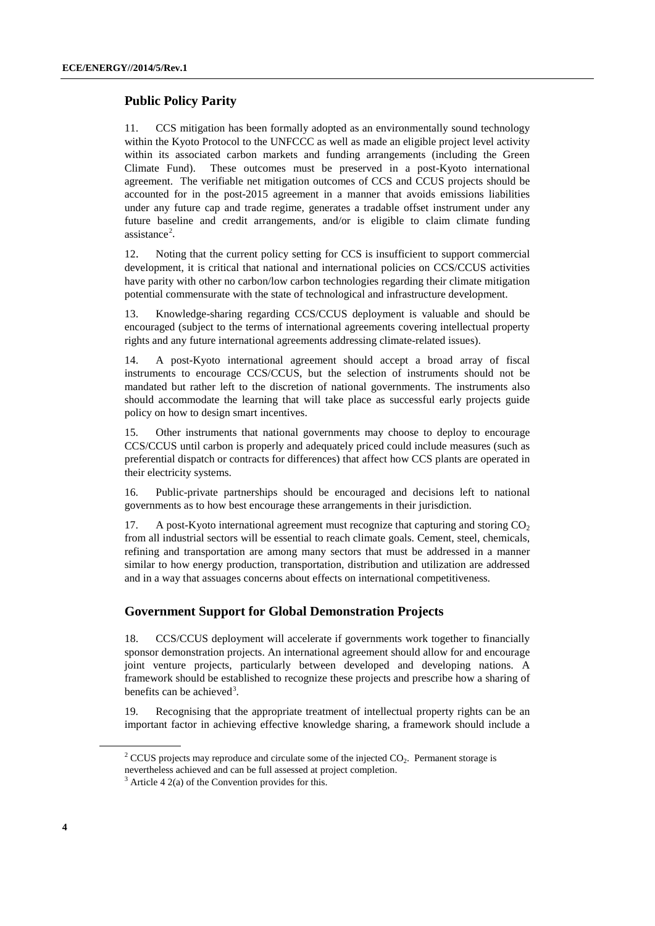### **Public Policy Parity**

11. CCS mitigation has been formally adopted as an environmentally sound technology within the Kyoto Protocol to the UNFCCC as well as made an eligible project level activity within its associated carbon markets and funding arrangements (including the Green Climate Fund). These outcomes must be preserved in a post-Kyoto international agreement. The verifiable net mitigation outcomes of CCS and CCUS projects should be accounted for in the post-2015 agreement in a manner that avoids emissions liabilities under any future cap and trade regime, generates a tradable offset instrument under any future baseline and credit arrangements, and/or is eligible to claim climate funding assistance<sup>[2](#page-3-0)</sup>.

12. Noting that the current policy setting for CCS is insufficient to support commercial development, it is critical that national and international policies on CCS/CCUS activities have parity with other no carbon/low carbon technologies regarding their climate mitigation potential commensurate with the state of technological and infrastructure development.

13. Knowledge-sharing regarding CCS/CCUS deployment is valuable and should be encouraged (subject to the terms of international agreements covering intellectual property rights and any future international agreements addressing climate-related issues).

14. A post-Kyoto international agreement should accept a broad array of fiscal instruments to encourage CCS/CCUS, but the selection of instruments should not be mandated but rather left to the discretion of national governments. The instruments also should accommodate the learning that will take place as successful early projects guide policy on how to design smart incentives.

15. Other instruments that national governments may choose to deploy to encourage CCS/CCUS until carbon is properly and adequately priced could include measures (such as preferential dispatch or contracts for differences) that affect how CCS plants are operated in their electricity systems.

16. Public-private partnerships should be encouraged and decisions left to national governments as to how best encourage these arrangements in their jurisdiction.

17. A post-Kyoto international agreement must recognize that capturing and storing  $CO<sub>2</sub>$ from all industrial sectors will be essential to reach climate goals. Cement, steel, chemicals, refining and transportation are among many sectors that must be addressed in a manner similar to how energy production, transportation, distribution and utilization are addressed and in a way that assuages concerns about effects on international competitiveness.

### **Government Support for Global Demonstration Projects**

18. CCS/CCUS deployment will accelerate if governments work together to financially sponsor demonstration projects. An international agreement should allow for and encourage joint venture projects, particularly between developed and developing nations. A framework should be established to recognize these projects and prescribe how a sharing of benefits can be achieved<sup>[3](#page-3-1)</sup>.

19. Recognising that the appropriate treatment of intellectual property rights can be an important factor in achieving effective knowledge sharing, a framework should include a

<span id="page-3-0"></span> $2$  CCUS projects may reproduce and circulate some of the injected CO<sub>2</sub>. Permanent storage is nevertheless achieved and can be full assessed at project completion.

<span id="page-3-1"></span>

 $3$  Article 4 2(a) of the Convention provides for this.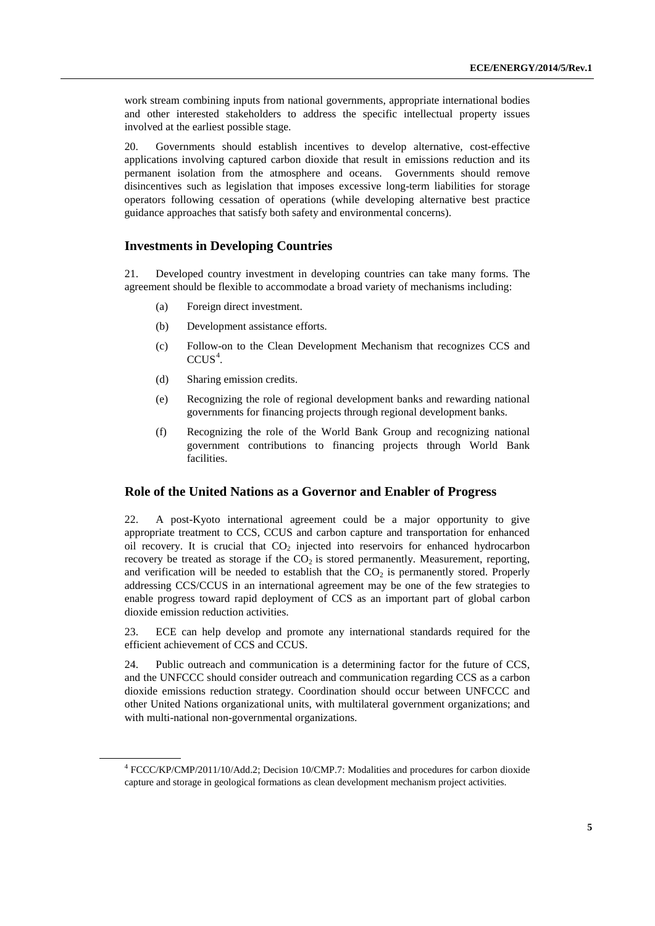work stream combining inputs from national governments, appropriate international bodies and other interested stakeholders to address the specific intellectual property issues involved at the earliest possible stage.

20. Governments should establish incentives to develop alternative, cost-effective applications involving captured carbon dioxide that result in emissions reduction and its permanent isolation from the atmosphere and oceans. Governments should remove disincentives such as legislation that imposes excessive long-term liabilities for storage operators following cessation of operations (while developing alternative best practice guidance approaches that satisfy both safety and environmental concerns).

#### **Investments in Developing Countries**

21. Developed country investment in developing countries can take many forms. The agreement should be flexible to accommodate a broad variety of mechanisms including:

- (a) Foreign direct investment.
- (b) Development assistance efforts.
- (c) Follow-on to the Clean Development Mechanism that recognizes CCS and  $CCUS<sup>4</sup>$  $CCUS<sup>4</sup>$  $CCUS<sup>4</sup>$ .
- (d) Sharing emission credits.
- (e) Recognizing the role of regional development banks and rewarding national governments for financing projects through regional development banks.
- (f) Recognizing the role of the World Bank Group and recognizing national government contributions to financing projects through World Bank facilities.

#### **Role of the United Nations as a Governor and Enabler of Progress**

22. A post-Kyoto international agreement could be a major opportunity to give appropriate treatment to CCS, CCUS and carbon capture and transportation for enhanced oil recovery. It is crucial that  $CO<sub>2</sub>$  injected into reservoirs for enhanced hydrocarbon recovery be treated as storage if the  $CO<sub>2</sub>$  is stored permanently. Measurement, reporting, and verification will be needed to establish that the  $CO<sub>2</sub>$  is permanently stored. Properly addressing CCS/CCUS in an international agreement may be one of the few strategies to enable progress toward rapid deployment of CCS as an important part of global carbon dioxide emission reduction activities.

23. ECE can help develop and promote any international standards required for the efficient achievement of CCS and CCUS.

24. Public outreach and communication is a determining factor for the future of CCS, and the UNFCCC should consider outreach and communication regarding CCS as a carbon dioxide emissions reduction strategy. Coordination should occur between UNFCCC and other United Nations organizational units, with multilateral government organizations; and with multi-national non-governmental organizations.

<span id="page-4-0"></span><sup>4</sup> FCCC/KP/CMP/2011/10/Add.2; Decision 10/CMP.7: Modalities and procedures for carbon dioxide capture and storage in geological formations as clean development mechanism project activities.